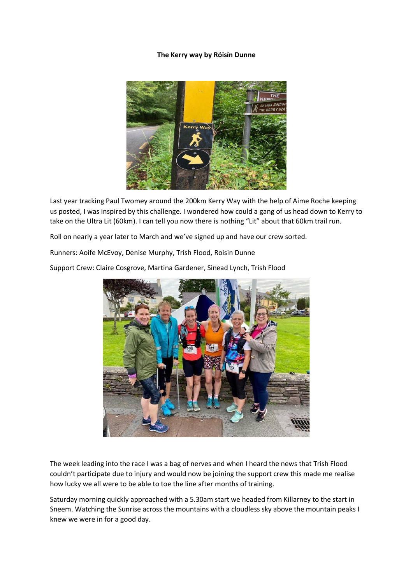## **The Kerry way by Róisín Dunne**



Last year tracking Paul Twomey around the 200km Kerry Way with the help of Aime Roche keeping us posted, I was inspired by this challenge. I wondered how could a gang of us head down to Kerry to take on the Ultra Lit (60km). I can tell you now there is nothing "Lit" about that 60km trail run.

Roll on nearly a year later to March and we've signed up and have our crew sorted.

Runners: Aoife McEvoy, Denise Murphy, Trish Flood, Roisin Dunne

Support Crew: Claire Cosgrove, Martina Gardener, Sinead Lynch, Trish Flood



The week leading into the race I was a bag of nerves and when I heard the news that Trish Flood couldn't participate due to injury and would now be joining the support crew this made me realise how lucky we all were to be able to toe the line after months of training.

Saturday morning quickly approached with a 5.30am start we headed from Killarney to the start in Sneem. Watching the Sunrise across the mountains with a cloudless sky above the mountain peaks I knew we were in for a good day.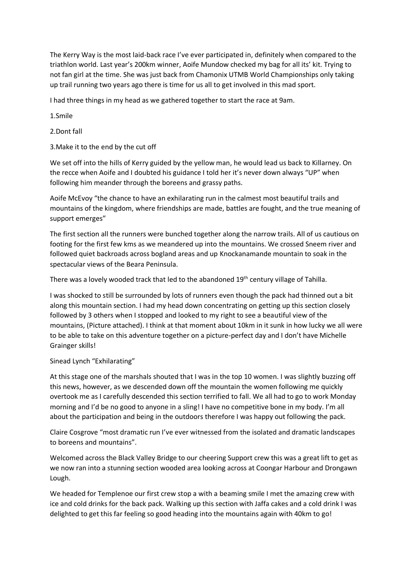The Kerry Way is the most laid-back race I've ever participated in, definitely when compared to the triathlon world. Last year's 200km winner, Aoife Mundow checked my bag for all its' kit. Trying to not fan girl at the time. She was just back from Chamonix UTMB World Championships only taking up trail running two years ago there is time for us all to get involved in this mad sport.

I had three things in my head as we gathered together to start the race at 9am.

1.Smile

2.Dont fall

3.Make it to the end by the cut off

We set off into the hills of Kerry guided by the yellow man, he would lead us back to Killarney. On the recce when Aoife and I doubted his guidance I told her it's never down always "UP" when following him meander through the boreens and grassy paths.

Aoife McEvoy "the chance to have an exhilarating run in the calmest most beautiful trails and mountains of the kingdom, where friendships are made, battles are fought, and the true meaning of support emerges"

The first section all the runners were bunched together along the narrow trails. All of us cautious on footing for the first few kms as we meandered up into the mountains. We crossed Sneem river and followed quiet backroads across bogland areas and up Knockanamande mountain to soak in the spectacular views of the Beara Peninsula.

There was a lovely wooded track that led to the abandoned 19<sup>th</sup> century village of Tahilla.

I was shocked to still be surrounded by lots of runners even though the pack had thinned out a bit along this mountain section. I had my head down concentrating on getting up this section closely followed by 3 others when I stopped and looked to my right to see a beautiful view of the mountains, (Picture attached). I think at that moment about 10km in it sunk in how lucky we all were to be able to take on this adventure together on a picture-perfect day and I don't have Michelle Grainger skills!

Sinead Lynch "Exhilarating"

At this stage one of the marshals shouted that I was in the top 10 women. I was slightly buzzing off this news, however, as we descended down off the mountain the women following me quickly overtook me as I carefully descended this section terrified to fall. We all had to go to work Monday morning and I'd be no good to anyone in a sling! I have no competitive bone in my body. I'm all about the participation and being in the outdoors therefore I was happy out following the pack.

Claire Cosgrove "most dramatic run I've ever witnessed from the isolated and dramatic landscapes to boreens and mountains".

Welcomed across the Black Valley Bridge to our cheering Support crew this was a great lift to get as we now ran into a stunning section wooded area looking across at Coongar Harbour and Drongawn Lough.

We headed for Templenoe our first crew stop a with a beaming smile I met the amazing crew with ice and cold drinks for the back pack. Walking up this section with Jaffa cakes and a cold drink I was delighted to get this far feeling so good heading into the mountains again with 40km to go!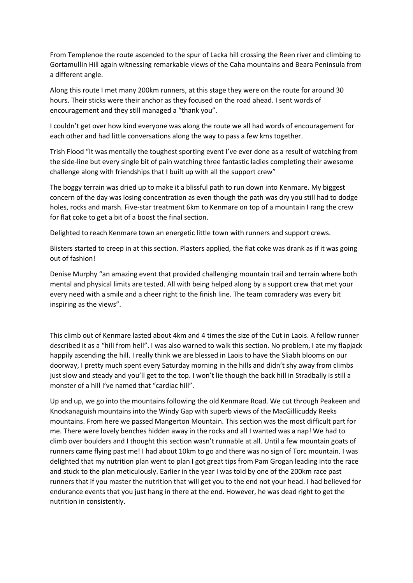From Templenoe the route ascended to the spur of Lacka hill crossing the Reen river and climbing to Gortamullin Hill again witnessing remarkable views of the Caha mountains and Beara Peninsula from a different angle.

Along this route I met many 200km runners, at this stage they were on the route for around 30 hours. Their sticks were their anchor as they focused on the road ahead. I sent words of encouragement and they still managed a "thank you".

I couldn't get over how kind everyone was along the route we all had words of encouragement for each other and had little conversations along the way to pass a few kms together.

Trish Flood "It was mentally the toughest sporting event I've ever done as a result of watching from the side-line but every single bit of pain watching three fantastic ladies completing their awesome challenge along with friendships that I built up with all the support crew"

The boggy terrain was dried up to make it a blissful path to run down into Kenmare. My biggest concern of the day was losing concentration as even though the path was dry you still had to dodge holes, rocks and marsh. Five-star treatment 6km to Kenmare on top of a mountain I rang the crew for flat coke to get a bit of a boost the final section.

Delighted to reach Kenmare town an energetic little town with runners and support crews.

Blisters started to creep in at this section. Plasters applied, the flat coke was drank as if it was going out of fashion!

Denise Murphy "an amazing event that provided challenging mountain trail and terrain where both mental and physical limits are tested. All with being helped along by a support crew that met your every need with a smile and a cheer right to the finish line. The team comradery was every bit inspiring as the views".

This climb out of Kenmare lasted about 4km and 4 times the size of the Cut in Laois. A fellow runner described it as a "hill from hell". I was also warned to walk this section. No problem, I ate my flapjack happily ascending the hill. I really think we are blessed in Laois to have the Sliabh blooms on our doorway, I pretty much spent every Saturday morning in the hills and didn't shy away from climbs just slow and steady and you'll get to the top. I won't lie though the back hill in Stradbally is still a monster of a hill I've named that "cardiac hill".

Up and up, we go into the mountains following the old Kenmare Road. We cut through Peakeen and Knockanaguish mountains into the Windy Gap with superb views of the MacGillicuddy Reeks mountains. From here we passed Mangerton Mountain. This section was the most difficult part for me. There were lovely benches hidden away in the rocks and all I wanted was a nap! We had to climb over boulders and I thought this section wasn't runnable at all. Until a few mountain goats of runners came flying past me! I had about 10km to go and there was no sign of Torc mountain. I was delighted that my nutrition plan went to plan I got great tips from Pam Grogan leading into the race and stuck to the plan meticulously. Earlier in the year I was told by one of the 200km race past runners that if you master the nutrition that will get you to the end not your head. I had believed for endurance events that you just hang in there at the end. However, he was dead right to get the nutrition in consistently.